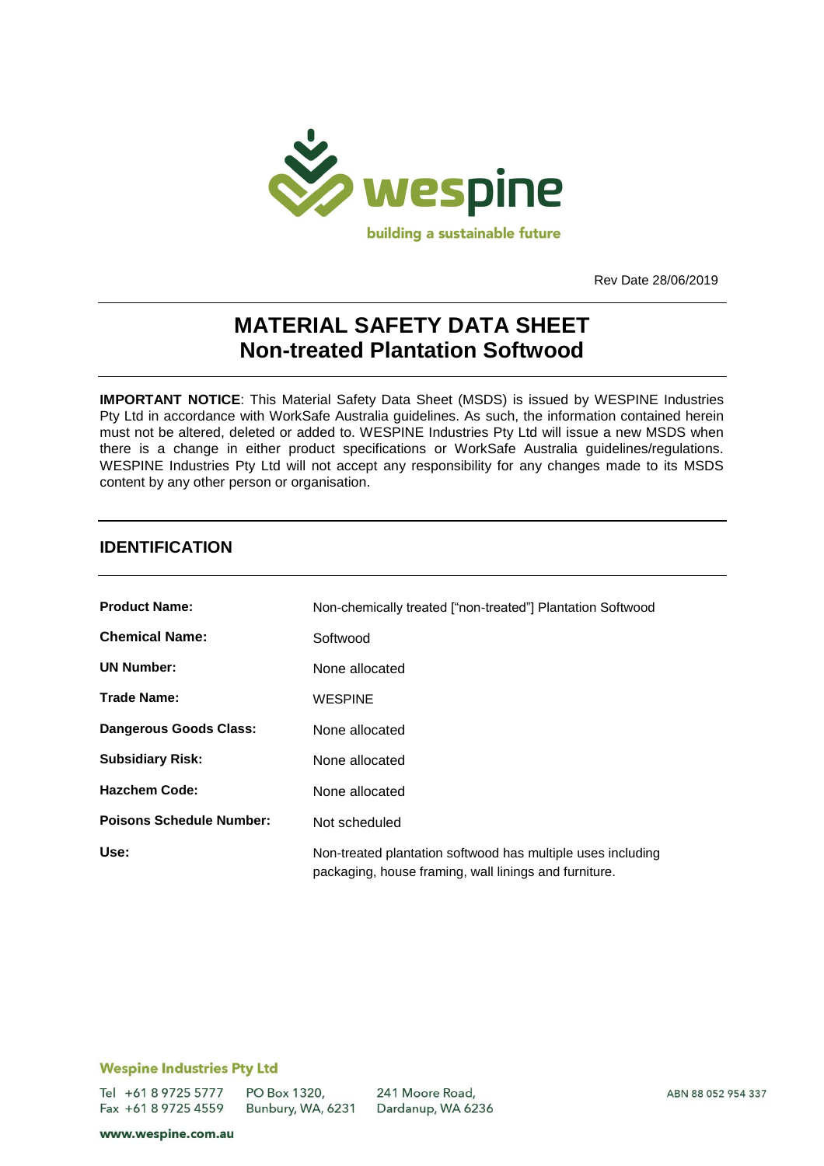

Rev Date 28/06/2019

# **MATERIAL SAFETY DATA SHEET Non-treated Plantation Softwood**

**IMPORTANT NOTICE**: This Material Safety Data Sheet (MSDS) is issued by WESPINE Industries Pty Ltd in accordance with WorkSafe Australia guidelines. As such, the information contained herein must not be altered, deleted or added to. WESPINE Industries Pty Ltd will issue a new MSDS when there is a change in either product specifications or WorkSafe Australia guidelines/regulations. WESPINE Industries Pty Ltd will not accept any responsibility for any changes made to its MSDS content by any other person or organisation.

### **IDENTIFICATION**

| <b>Product Name:</b>            | Non-chemically treated ["non-treated"] Plantation Softwood                                                           |
|---------------------------------|----------------------------------------------------------------------------------------------------------------------|
| <b>Chemical Name:</b>           | Softwood                                                                                                             |
| <b>UN Number:</b>               | None allocated                                                                                                       |
| <b>Trade Name:</b>              | <b>WESPINE</b>                                                                                                       |
| <b>Dangerous Goods Class:</b>   | None allocated                                                                                                       |
| <b>Subsidiary Risk:</b>         | None allocated                                                                                                       |
| <b>Hazchem Code:</b>            | None allocated                                                                                                       |
| <b>Poisons Schedule Number:</b> | Not scheduled                                                                                                        |
| Use:                            | Non-treated plantation softwood has multiple uses including<br>packaging, house framing, wall linings and furniture. |

#### **Wespine Industries Pty Ltd**

Tel +61 8 9725 5777 Fax +61 8 9725 4559

PO Box 1320, Bunbury, WA, 6231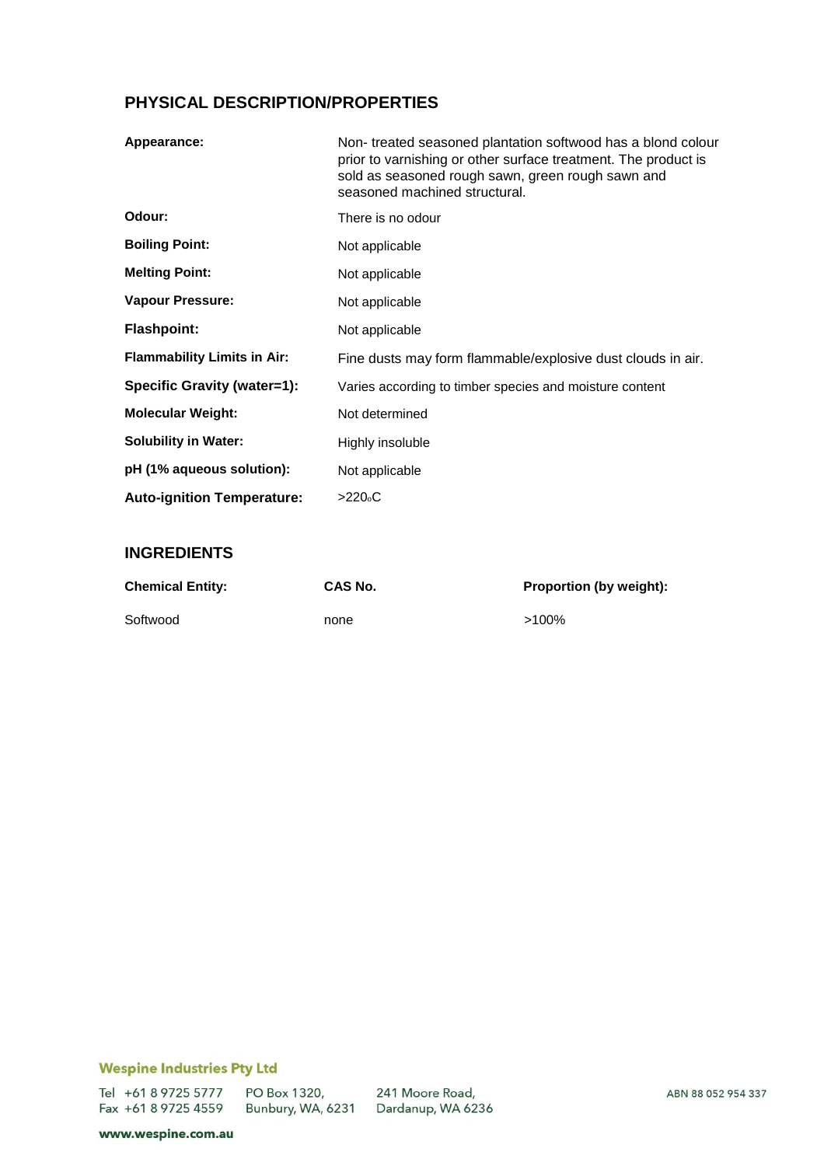## **PHYSICAL DESCRIPTION/PROPERTIES**

| Appearance:                        | Non-treated seasoned plantation softwood has a blond colour<br>prior to varnishing or other surface treatment. The product is<br>sold as seasoned rough sawn, green rough sawn and<br>seasoned machined structural. |
|------------------------------------|---------------------------------------------------------------------------------------------------------------------------------------------------------------------------------------------------------------------|
| Odour:                             | There is no odour                                                                                                                                                                                                   |
| <b>Boiling Point:</b>              | Not applicable                                                                                                                                                                                                      |
| <b>Melting Point:</b>              | Not applicable                                                                                                                                                                                                      |
| Vapour Pressure:                   | Not applicable                                                                                                                                                                                                      |
| <b>Flashpoint:</b>                 | Not applicable                                                                                                                                                                                                      |
| <b>Flammability Limits in Air:</b> | Fine dusts may form flammable/explosive dust clouds in air.                                                                                                                                                         |
| Specific Gravity (water=1):        | Varies according to timber species and moisture content                                                                                                                                                             |
| <b>Molecular Weight:</b>           | Not determined                                                                                                                                                                                                      |
| <b>Solubility in Water:</b>        | Highly insoluble                                                                                                                                                                                                    |
| pH (1% aqueous solution):          | Not applicable                                                                                                                                                                                                      |
| <b>Auto-ignition Temperature:</b>  | >220°C                                                                                                                                                                                                              |

### **INGREDIENTS**

| <b>Chemical Entity:</b> | CAS No. | <b>Proportion (by weight):</b> |
|-------------------------|---------|--------------------------------|
| Softwood                | none    | $>100\%$                       |

### **Wespine Industries Pty Ltd**

Tel +61 8 9725 5777 Fax +61 8 9725 4559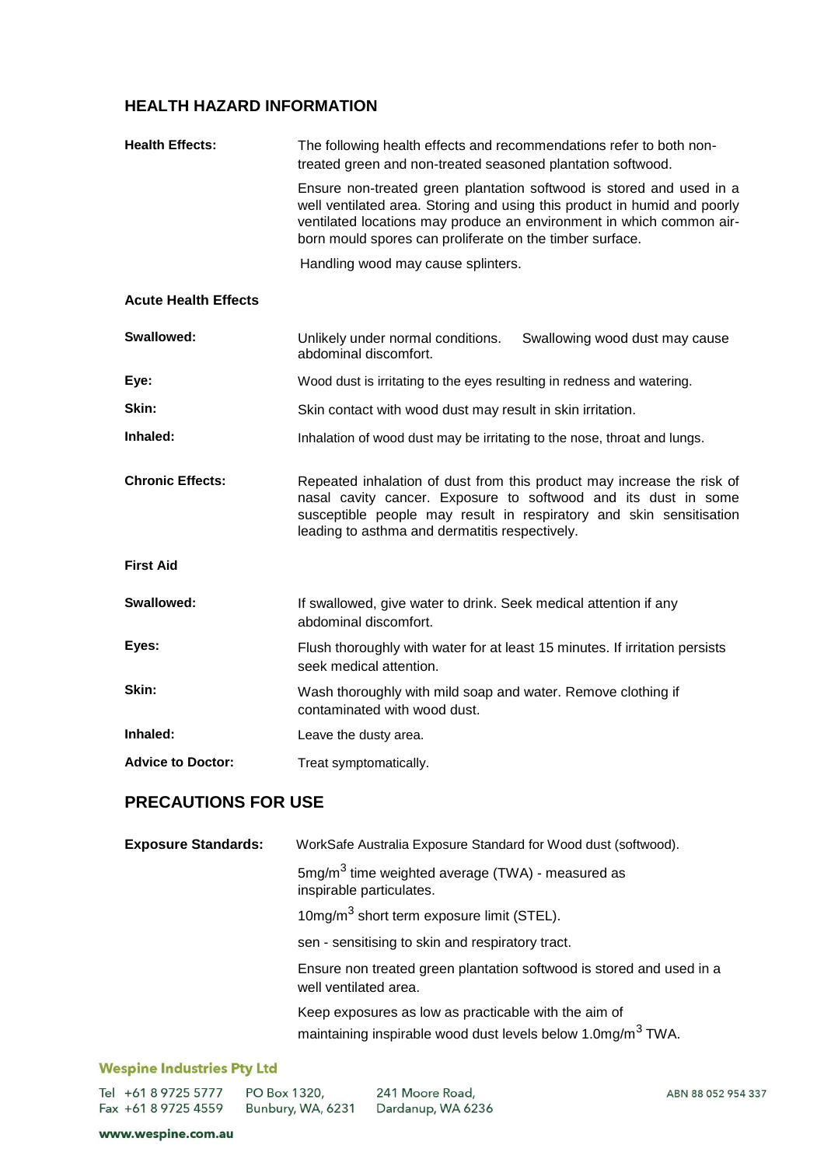# **HEALTH HAZARD INFORMATION**

| <b>Health Effects:</b>      | The following health effects and recommendations refer to both non-<br>treated green and non-treated seasoned plantation softwood.                                                                                                                                                   |
|-----------------------------|--------------------------------------------------------------------------------------------------------------------------------------------------------------------------------------------------------------------------------------------------------------------------------------|
|                             | Ensure non-treated green plantation softwood is stored and used in a<br>well ventilated area. Storing and using this product in humid and poorly<br>ventilated locations may produce an environment in which common air-<br>born mould spores can proliferate on the timber surface. |
|                             | Handling wood may cause splinters.                                                                                                                                                                                                                                                   |
| <b>Acute Health Effects</b> |                                                                                                                                                                                                                                                                                      |
| Swallowed:                  | Unlikely under normal conditions.<br>Swallowing wood dust may cause<br>abdominal discomfort.                                                                                                                                                                                         |
| Eye:                        | Wood dust is irritating to the eyes resulting in redness and watering.                                                                                                                                                                                                               |
| Skin:                       | Skin contact with wood dust may result in skin irritation.                                                                                                                                                                                                                           |
| Inhaled:                    | Inhalation of wood dust may be irritating to the nose, throat and lungs.                                                                                                                                                                                                             |
| <b>Chronic Effects:</b>     | Repeated inhalation of dust from this product may increase the risk of<br>nasal cavity cancer. Exposure to softwood and its dust in some<br>susceptible people may result in respiratory and skin sensitisation<br>leading to asthma and dermatitis respectively.                    |
| <b>First Aid</b>            |                                                                                                                                                                                                                                                                                      |
| Swallowed:                  | If swallowed, give water to drink. Seek medical attention if any<br>abdominal discomfort.                                                                                                                                                                                            |
| Eyes:                       | Flush thoroughly with water for at least 15 minutes. If irritation persists<br>seek medical attention.                                                                                                                                                                               |
| Skin:                       | Wash thoroughly with mild soap and water. Remove clothing if<br>contaminated with wood dust.                                                                                                                                                                                         |
| Inhaled:                    | Leave the dusty area.                                                                                                                                                                                                                                                                |
| <b>Advice to Doctor:</b>    | Treat symptomatically.                                                                                                                                                                                                                                                               |
| <b>PRECAUTIONS FOR USE</b>  |                                                                                                                                                                                                                                                                                      |
| <b>Exposure Standards:</b>  | WorkSafe Australia Exposure Standard for Wood dust (softwood).                                                                                                                                                                                                                       |
|                             | $5mg/m3$ time weighted average (TWA) - measured as<br>inspirable particulates.                                                                                                                                                                                                       |
|                             | 10mg/m <sup>3</sup> short term exposure limit (STEL).                                                                                                                                                                                                                                |
|                             | sen - sensitising to skin and respiratory tract.                                                                                                                                                                                                                                     |
|                             | Ensure non treated green plantation softwood is stored and used in a<br>well ventilated area.                                                                                                                                                                                        |
|                             | Keep exposures as low as practicable with the aim of<br>maintaining inspirable wood dust levels below 1.0mg/m <sup>3</sup> TWA.                                                                                                                                                      |
|                             |                                                                                                                                                                                                                                                                                      |

#### **Wespine Industries Pty Ltd**

|  | Tel +61 8 9725 5777 | PO Box 1320,      | 241 Moore Road,   |
|--|---------------------|-------------------|-------------------|
|  | Fax +61 8 9725 4559 | Bunbury, WA, 6231 | Dardanup, WA 6236 |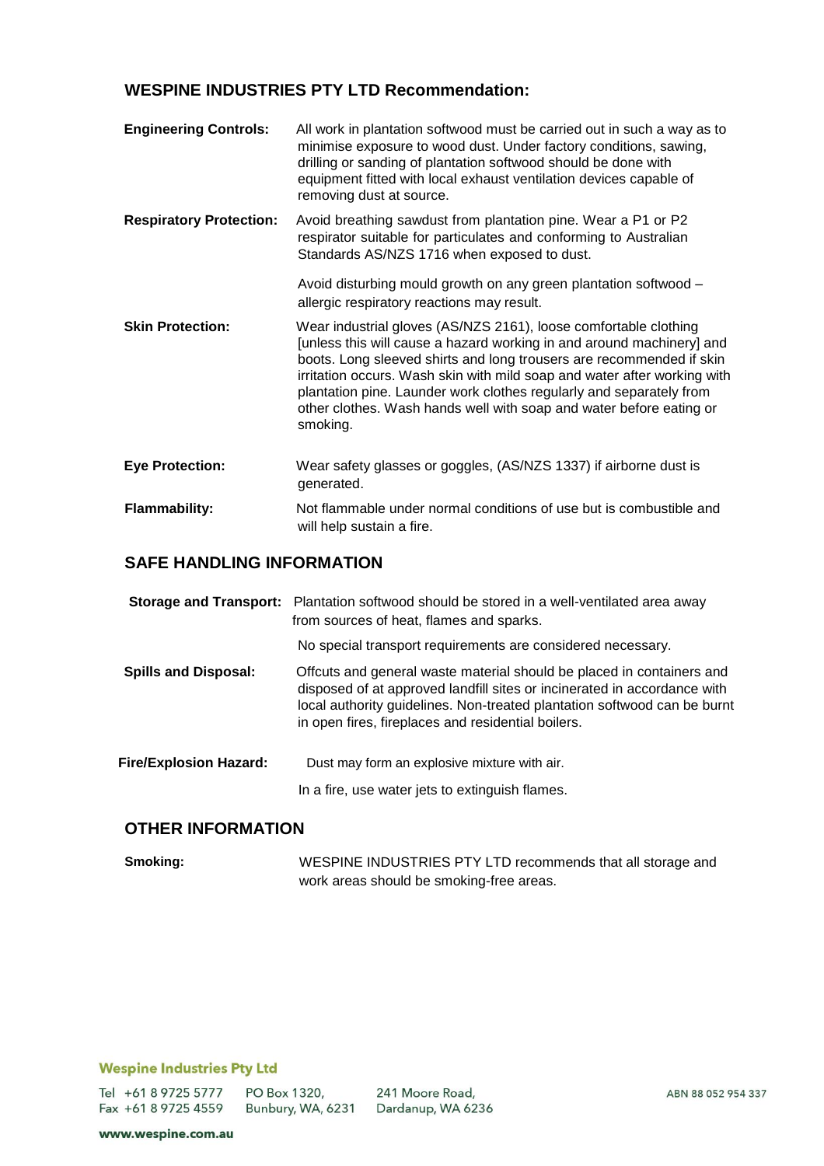### **WESPINE INDUSTRIES PTY LTD Recommendation:**

| <b>Engineering Controls:</b>   | All work in plantation softwood must be carried out in such a way as to<br>minimise exposure to wood dust. Under factory conditions, sawing,<br>drilling or sanding of plantation softwood should be done with<br>equipment fitted with local exhaust ventilation devices capable of<br>removing dust at source.                                                                                                                                        |
|--------------------------------|---------------------------------------------------------------------------------------------------------------------------------------------------------------------------------------------------------------------------------------------------------------------------------------------------------------------------------------------------------------------------------------------------------------------------------------------------------|
| <b>Respiratory Protection:</b> | Avoid breathing sawdust from plantation pine. Wear a P1 or P2<br>respirator suitable for particulates and conforming to Australian<br>Standards AS/NZS 1716 when exposed to dust.                                                                                                                                                                                                                                                                       |
|                                | Avoid disturbing mould growth on any green plantation softwood -<br>allergic respiratory reactions may result.                                                                                                                                                                                                                                                                                                                                          |
| <b>Skin Protection:</b>        | Wear industrial gloves (AS/NZS 2161), loose comfortable clothing<br>[unless this will cause a hazard working in and around machinery] and<br>boots. Long sleeved shirts and long trousers are recommended if skin<br>irritation occurs. Wash skin with mild soap and water after working with<br>plantation pine. Launder work clothes regularly and separately from<br>other clothes. Wash hands well with soap and water before eating or<br>smoking. |
| <b>Eye Protection:</b>         | Wear safety glasses or goggles, (AS/NZS 1337) if airborne dust is<br>generated.                                                                                                                                                                                                                                                                                                                                                                         |
| <b>Flammability:</b>           | Not flammable under normal conditions of use but is combustible and<br>will help sustain a fire.                                                                                                                                                                                                                                                                                                                                                        |

### **SAFE HANDLING INFORMATION**

|                               | Storage and Transport: Plantation softwood should be stored in a well-ventilated area away<br>from sources of heat, flames and sparks.                                                                                                                                              |
|-------------------------------|-------------------------------------------------------------------------------------------------------------------------------------------------------------------------------------------------------------------------------------------------------------------------------------|
|                               | No special transport requirements are considered necessary.                                                                                                                                                                                                                         |
| <b>Spills and Disposal:</b>   | Offcuts and general waste material should be placed in containers and<br>disposed of at approved landfill sites or incinerated in accordance with<br>local authority guidelines. Non-treated plantation softwood can be burnt<br>in open fires, fireplaces and residential boilers. |
| <b>Fire/Explosion Hazard:</b> | Dust may form an explosive mixture with air.                                                                                                                                                                                                                                        |
|                               | In a fire, use water jets to extinguish flames.                                                                                                                                                                                                                                     |

# **OTHER INFORMATION**

**Smoking:** WESPINE INDUSTRIES PTY LTD recommends that all storage and work areas should be smoking-free areas.

#### **Wespine Industries Pty Ltd**

Tel +61 8 9725 5777 Fax +61 8 9725 4559

PO Box 1320, 241 Moore Road, Bunbury, WA, 6231 Dardanup, WA 6236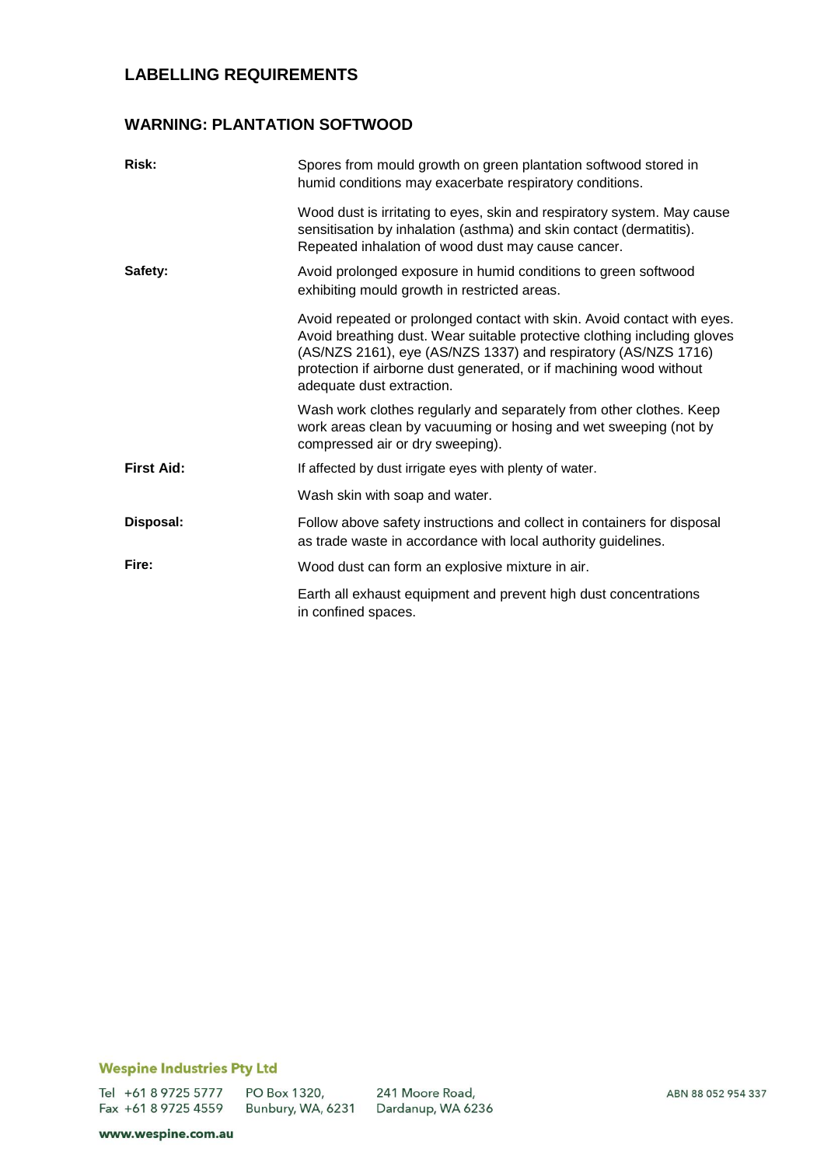# **LABELLING REQUIREMENTS**

### **WARNING: PLANTATION SOFTWOOD**

| Risk:             | Spores from mould growth on green plantation softwood stored in<br>humid conditions may exacerbate respiratory conditions.                                                                                                                                                                                                |
|-------------------|---------------------------------------------------------------------------------------------------------------------------------------------------------------------------------------------------------------------------------------------------------------------------------------------------------------------------|
|                   | Wood dust is irritating to eyes, skin and respiratory system. May cause<br>sensitisation by inhalation (asthma) and skin contact (dermatitis).<br>Repeated inhalation of wood dust may cause cancer.                                                                                                                      |
| Safety:           | Avoid prolonged exposure in humid conditions to green softwood<br>exhibiting mould growth in restricted areas.                                                                                                                                                                                                            |
|                   | Avoid repeated or prolonged contact with skin. Avoid contact with eyes.<br>Avoid breathing dust. Wear suitable protective clothing including gloves<br>(AS/NZS 2161), eye (AS/NZS 1337) and respiratory (AS/NZS 1716)<br>protection if airborne dust generated, or if machining wood without<br>adequate dust extraction. |
|                   | Wash work clothes regularly and separately from other clothes. Keep<br>work areas clean by vacuuming or hosing and wet sweeping (not by<br>compressed air or dry sweeping).                                                                                                                                               |
| <b>First Aid:</b> | If affected by dust irrigate eyes with plenty of water.                                                                                                                                                                                                                                                                   |
|                   | Wash skin with soap and water.                                                                                                                                                                                                                                                                                            |
| Disposal:         | Follow above safety instructions and collect in containers for disposal<br>as trade waste in accordance with local authority guidelines.                                                                                                                                                                                  |
| Fire:             | Wood dust can form an explosive mixture in air.                                                                                                                                                                                                                                                                           |
|                   | Earth all exhaust equipment and prevent high dust concentrations<br>in confined spaces.                                                                                                                                                                                                                                   |

### **Wespine Industries Pty Ltd**

Tel +61 8 9725 5777 Fax +61 8 9725 4559